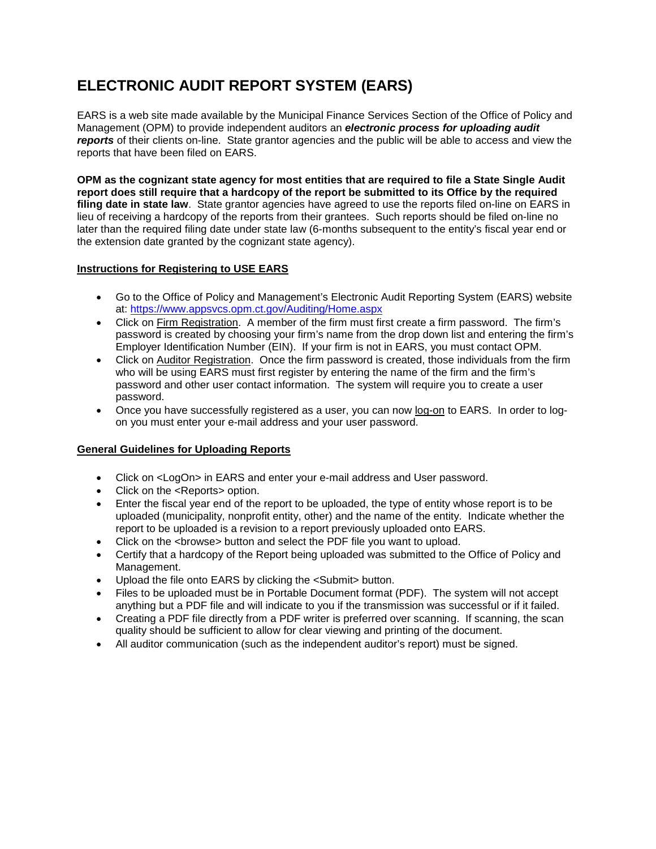## **ELECTRONIC AUDIT REPORT SYSTEM (EARS)**

EARS is a web site made available by the Municipal Finance Services Section of the Office of Policy and Management (OPM) to provide independent auditors an *electronic process for uploading audit reports* of their clients on-line. State grantor agencies and the public will be able to access and view the reports that have been filed on EARS.

**OPM as the cognizant state agency for most entities that are required to file a State Single Audit report does still require that a hardcopy of the report be submitted to its Office by the required filing date in state law**. State grantor agencies have agreed to use the reports filed on-line on EARS in lieu of receiving a hardcopy of the reports from their grantees. Such reports should be filed on-line no later than the required filing date under state law (6-months subsequent to the entity's fiscal year end or the extension date granted by the cognizant state agency).

## **Instructions for Registering to USE EARS**

- Go to the Office of Policy and Management's Electronic Audit Reporting System (EARS) website at:<https://www.appsvcs.opm.ct.gov/Auditing/Home.aspx>
- Click on Firm Registration. A member of the firm must first create a firm password. The firm's password is created by choosing your firm's name from the drop down list and entering the firm's Employer Identification Number (EIN). If your firm is not in EARS, you must contact OPM.
- Click on Auditor Registration. Once the firm password is created, those individuals from the firm who will be using EARS must first register by entering the name of the firm and the firm's password and other user contact information. The system will require you to create a user password.
- Once you have successfully registered as a user, you can now log-on to EARS. In order to logon you must enter your e-mail address and your user password.

## **General Guidelines for Uploading Reports**

- Click on <LogOn> in EARS and enter your e-mail address and User password.
- Click on the <Reports> option.
- Enter the fiscal year end of the report to be uploaded, the type of entity whose report is to be uploaded (municipality, nonprofit entity, other) and the name of the entity. Indicate whether the report to be uploaded is a revision to a report previously uploaded onto EARS.
- Click on the <browse> button and select the PDF file you want to upload.
- Certify that a hardcopy of the Report being uploaded was submitted to the Office of Policy and Management.
- Upload the file onto EARS by clicking the <Submit> button.
- Files to be uploaded must be in Portable Document format (PDF). The system will not accept anything but a PDF file and will indicate to you if the transmission was successful or if it failed.
- Creating a PDF file directly from a PDF writer is preferred over scanning. If scanning, the scan quality should be sufficient to allow for clear viewing and printing of the document.
- All auditor communication (such as the independent auditor's report) must be signed.